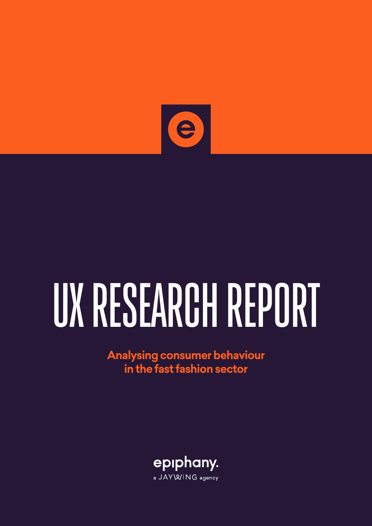

# UX RESEARCH REPORT

**Analysing consumer behaviour in the fast fashion sector**

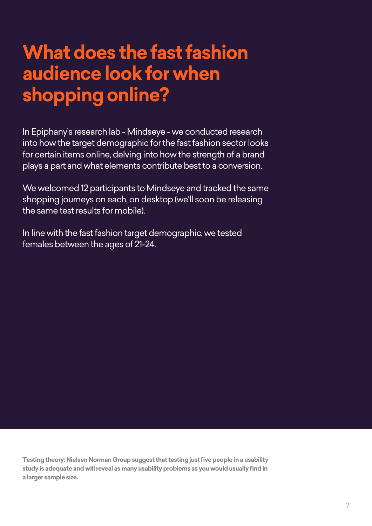## **What does the fast fashion audience look for when shopping online?**

In Epiphany's research lab - Mindseye - we conducted research into how the target demographic for the fast fashion sector looks for certain items online, delving into how the strength of a brand plays a part and what elements contribute best to a conversion.

We welcomed 12 participants to Mindseye and tracked the same shopping journeys on each, on desktop (we'll soon be releasing the same test results for mobile).

In line with the fast fashion target demographic, we tested females between the ages of 21-24.

**Testing theory: Nielsen Norman Group suggest that testing just five people in a usability study is adequate and will reveal as many usability problems as you would usually find in a larger sample size.**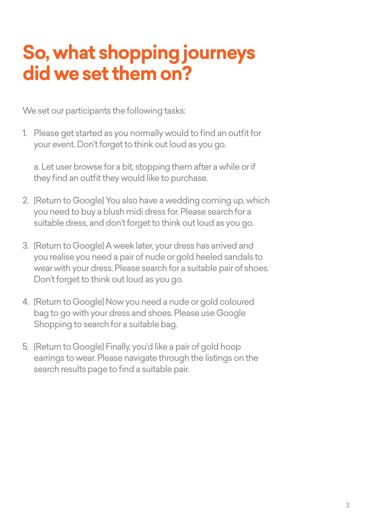## **So, what shopping journeys did we set them on?**

We set our participants the following tasks:

1. Please get started as you normally would to find an outfit for your event. Don't forget to think out loud as you go.

a. Let user browse for a bit, stopping them after a while or if they find an outfit they would like to purchase.

- 2. [Return to Google] You also have a wedding coming up, which you need to buy a blush midi dress for. Please search for a suitable dress, and don't forget to think out loud as you go.
- 3. [Return to Google] A week later, your dress has arrived and you realise you need a pair of nude or gold heeled sandals to wear with your dress. Please search for a suitable pair of shoes. Don't forget to think out loud as you go.
- 4. [Return to Google] Now you need a nude or gold coloured bag to go with your dress and shoes. Please use Google Shopping to search for a suitable bag.
- 5. [Return to Google] Finally, you'd like a pair of gold hoop earrings to wear. Please navigate through the listings on the search results page to find a suitable pair.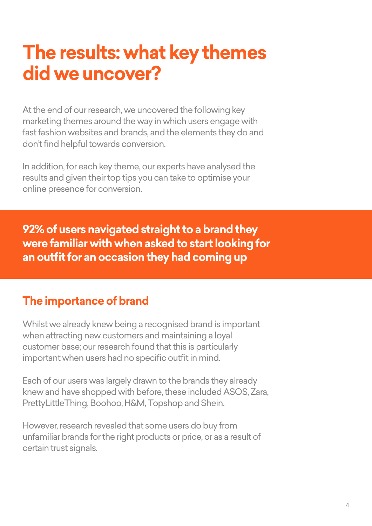### **The results: what key themes did we uncover?**

At the end of our research, we uncovered the following key marketing themes around the way in which users engage with fast fashion websites and brands, and the elements they do and don't find helpful towards conversion.

In addition, for each key theme, our experts have analysed the results and given their top tips you can take to optimise your online presence for conversion.

**92% of users navigated straight to a brand they were familiar with when asked to start looking for an outfit for an occasion they had coming up** 

#### **The importance of brand**

Whilst we already knew being a recognised brand is important when attracting new customers and maintaining a loyal customer base; our research found that this is particularly important when users had no specific outfit in mind.

Each of our users was largely drawn to the brands they already knew and have shopped with before, these included ASOS, Zara, PrettyLittleThing, Boohoo, H&M, Topshop and Shein.

However, research revealed that some users do buy from unfamiliar brands for the right products or price, or as a result of certain trust signals.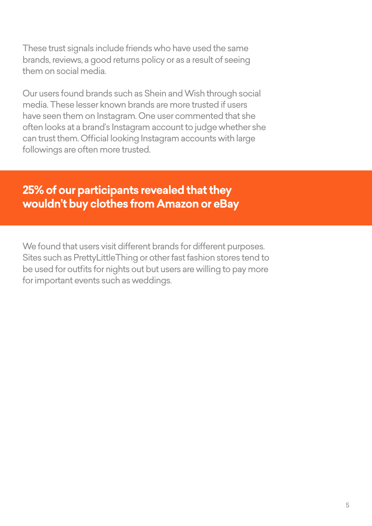These trust signals include friends who have used the same brands, reviews, a good returns policy or as a result of seeing them on social media.

Our users found brands such as Shein and Wish through social media. These lesser known brands are more trusted if users have seen them on Instagram. One user commented that she often looks at a brand's Instagram account to judge whether she can trust them. Official looking Instagram accounts with large followings are often more trusted.

#### **25% of our participants revealed that they wouldn't buy clothes from Amazon or eBay**

We found that users visit different brands for different purposes. Sites such as PrettyLittleThing or other fast fashion stores tend to be used for outfits for nights out but users are willing to pay more for important events such as weddings.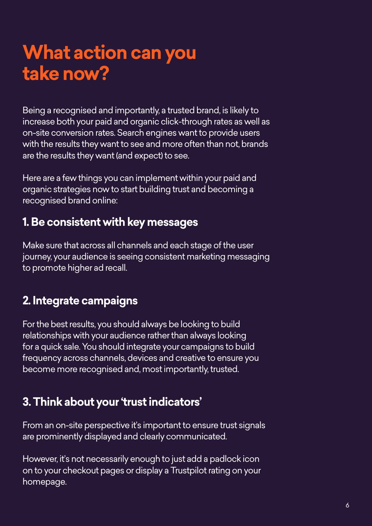Being a recognised and importantly, a trusted brand, is likely to increase both your paid and organic click-through rates as well as on-site conversion rates. Search engines want to provide users with the results they want to see and more often than not, brands are the results they want (and expect) to see.

Here are a few things you can implement within your paid and organic strategies now to start building trust and becoming a recognised brand online:

#### **1. Be consistent with key messages**

Make sure that across all channels and each stage of the user journey, your audience is seeing consistent marketing messaging to promote higher ad recall.

#### **2. Integrate campaigns**

For the best results, you should always be looking to build relationships with your audience rather than always looking for a quick sale. You should integrate your campaigns to build frequency across channels, devices and creative to ensure you become more recognised and, most importantly, trusted.

#### **3. Think about your 'trust indicators'**

From an on-site perspective it's important to ensure trust signals are prominently displayed and clearly communicated.

However, it's not necessarily enough to just add a padlock icon on to your checkout pages or display a Trustpilot rating on your homepage.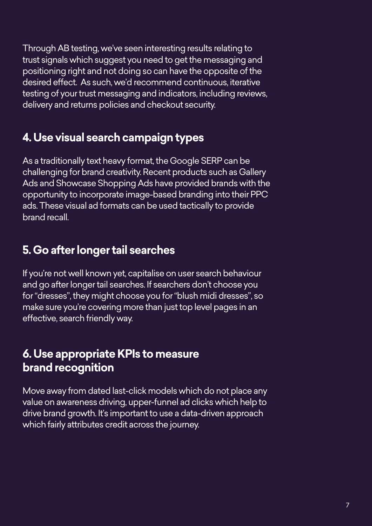Through AB testing, we've seen interesting results relating to trust signals which suggest you need to get the messaging and positioning right and not doing so can have the opposite of the desired effect. As such, we'd recommend continuous, iterative testing of your trust messaging and indicators, including reviews, delivery and returns policies and checkout security.

#### **4. Use visual search campaign types**

As a traditionally text heavy format, the Google SERP can be challenging for brand creativity. Recent products such as Gallery Ads and Showcase Shopping Ads have provided brands with the opportunity to incorporate image-based branding into their PPC ads. These visual ad formats can be used tactically to provide brand recall.

#### **5. Go after longer tail searches**

If you're not well known yet, capitalise on user search behaviour and go after longer tail searches. If searchers don't choose you for "dresses", they might choose you for "blush midi dresses", so make sure you're covering more than just top level pages in an effective, search friendly way.

#### **6. Use appropriate KPIs to measure brand recognition**

Move away from dated last-click models which do not place any value on awareness driving, upper-funnel ad clicks which help to drive brand growth. It's important to use a data-driven approach which fairly attributes credit across the journey.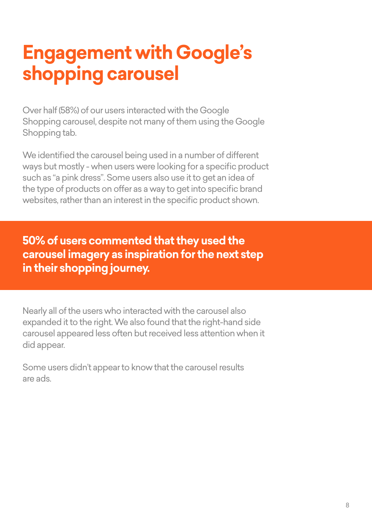## **Engagement with Google's shopping carousel**

Over half (58%) of our users interacted with the Google Shopping carousel, despite not many of them using the Google Shopping tab.

We identified the carousel being used in a number of different ways but mostly - when users were looking for a specific product such as "a pink dress". Some users also use it to get an idea of the type of products on offer as a way to get into specific brand websites, rather than an interest in the specific product shown.

**50% of users commented that they used the carousel imagery as inspiration for the next step in their shopping journey.**

Nearly all of the users who interacted with the carousel also expanded it to the right. We also found that the right-hand side carousel appeared less often but received less attention when it did appear.

Some users didn't appear to know that the carousel results are ads.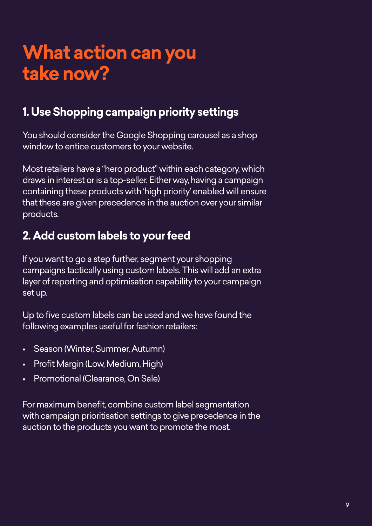#### **1. Use Shopping campaign priority settings**

You should consider the Google Shopping carousel as a shop window to entice customers to your website.

Most retailers have a "hero product" within each category, which draws in interest or is a top-seller. Either way, having a campaign containing these products with 'high priority' enabled will ensure that these are given precedence in the auction over your similar products.

#### **2. Add custom labels to your feed**

If you want to go a step further, segment your shopping campaigns tactically using custom labels. This will add an extra layer of reporting and optimisation capability to your campaign set up.

Up to five custom labels can be used and we have found the following examples useful for fashion retailers:

- Season (Winter, Summer, Autumn)
- Profit Margin (Low, Medium, High)
- Promotional (Clearance, On Sale)

For maximum benefit, combine custom label segmentation with campaign prioritisation settings to give precedence in the auction to the products you want to promote the most.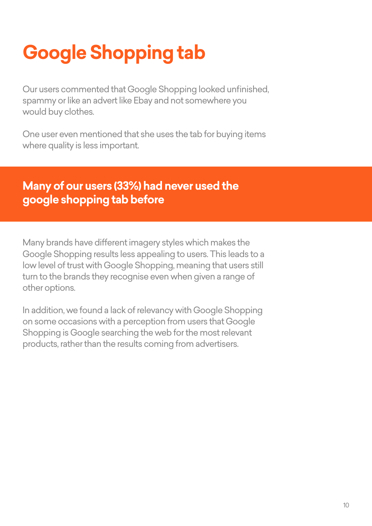# **Google Shopping tab**

Our users commented that Google Shopping looked unfinished, spammy or like an advert like Ebay and not somewhere you would buy clothes.

One user even mentioned that she uses the tab for buying items where quality is less important.

#### **Many of our users (33%) had never used the google shopping tab before**

Many brands have different imagery styles which makes the Google Shopping results less appealing to users. This leads to a low level of trust with Google Shopping, meaning that users still turn to the brands they recognise even when given a range of other options.

In addition, we found a lack of relevancy with Google Shopping on some occasions with a perception from users that Google Shopping is Google searching the web for the most relevant products, rather than the results coming from advertisers.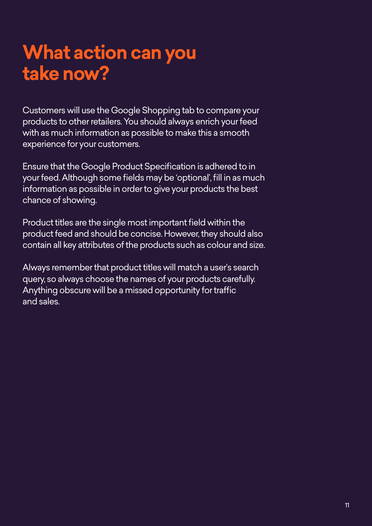Customers will use the Google Shopping tab to compare your products to other retailers. You should always enrich your feed with as much information as possible to make this a smooth experience for your customers.

Ensure that the Google Product Specification is adhered to in your feed. Although some fields may be 'optional', fill in as much information as possible in order to give your products the best chance of showing.

Product titles are the single most important field within the product feed and should be concise. However, they should also contain all key attributes of the products such as colour and size.

Always remember that product titles will match a user's search query, so always choose the names of your products carefully. Anything obscure will be a missed opportunity for traffic and sales.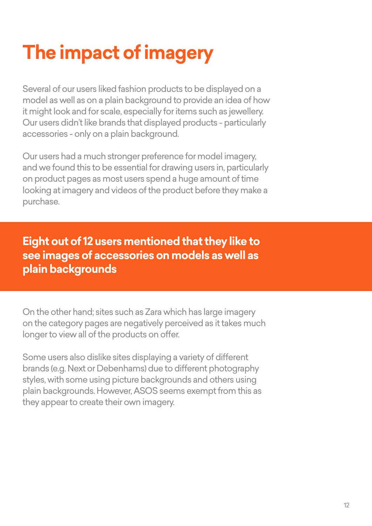## **The impact of imagery**

Several of our users liked fashion products to be displayed on a model as well as on a plain background to provide an idea of how it might look and for scale, especially for items such as jewellery. Our users didn't like brands that displayed products - particularly accessories - only on a plain background.

Our users had a much stronger preference for model imagery, and we found this to be essential for drawing users in, particularly on product pages as most users spend a huge amount of time looking at imagery and videos of the product before they make a purchase.

**Eight out of 12 users mentioned that they like to see images of accessories on models as well as plain backgrounds**

On the other hand; sites such as Zara which has large imagery on the category pages are negatively perceived as it takes much longer to view all of the products on offer.

Some users also dislike sites displaying a variety of different brands (e.g. Next or Debenhams) due to different photography styles, with some using picture backgrounds and others using plain backgrounds. However, ASOS seems exempt from this as they appear to create their own imagery.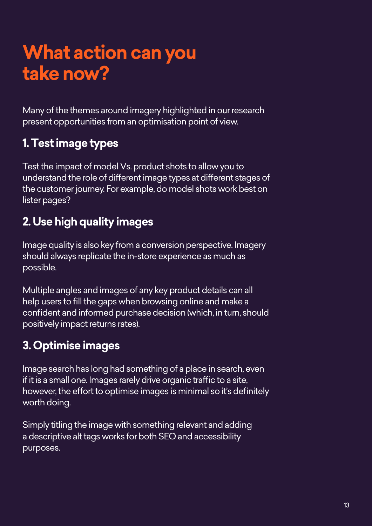Many of the themes around imagery highlighted in our research present opportunities from an optimisation point of view.

#### **1. Test image types**

Test the impact of model Vs. product shots to allow you to understand the role of different image types at different stages of the customer journey. For example, do model shots work best on lister pages?

#### **2. Use high quality images**

Image quality is also key from a conversion perspective. Imagery should always replicate the in-store experience as much as possible.

Multiple angles and images of any key product details can all help users to fill the gaps when browsing online and make a confident and informed purchase decision (which, in turn, should positively impact returns rates).

#### **3. Optimise images**

Image search has long had something of a place in search, even if it is a small one. Images rarely drive organic traffic to a site, however, the effort to optimise images is minimal so it's definitely worth doing.

Simply titling the image with something relevant and adding a descriptive alt tags works for both SEO and accessibility purposes.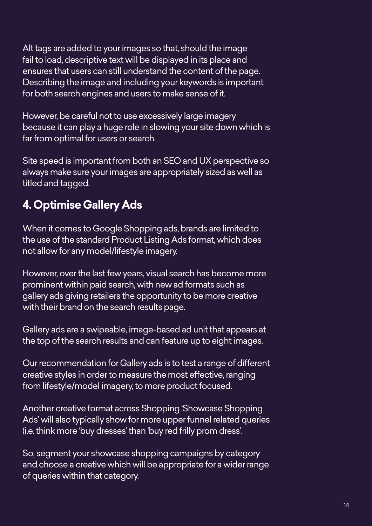Alt tags are added to your images so that, should the image fail to load, descriptive text will be displayed in its place and ensures that users can still understand the content of the page. Describing the image and including your keywords is important for both search engines and users to make sense of it.

However, be careful not to use excessively large imagery because it can play a huge role in slowing your site down which is far from optimal for users or search.

Site speed is important from both an SEO and UX perspective so always make sure your images are appropriately sized as well as titled and tagged.

#### **4. Optimise Gallery Ads**

When it comes to Google Shopping ads, brands are limited to the use of the standard Product Listing Ads format, which does not allow for any model/lifestyle imagery.

However, over the last few years, visual search has become more prominent within paid search, with new ad formats such as gallery ads giving retailers the opportunity to be more creative with their brand on the search results page.

Gallery ads are a swipeable, image-based ad unit that appears at the top of the search results and can feature up to eight images.

Our recommendation for Gallery ads is to test a range of different creative styles in order to measure the most effective, ranging from lifestyle/model imagery, to more product focused.

Another creative format across Shopping 'Showcase Shopping Ads' will also typically show for more upper funnel related queries (i.e. think more 'buy dresses' than 'buy red frilly prom dress'.

So, segment your showcase shopping campaigns by category and choose a creative which will be appropriate for a wider range of queries within that category.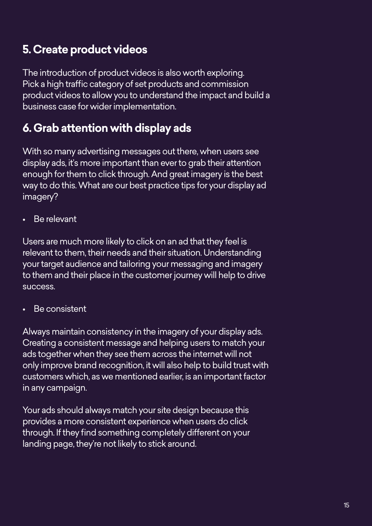#### **5. Create product videos**

The introduction of product videos is also worth exploring. Pick a high traffic category of set products and commission product videos to allow you to understand the impact and build a business case for wider implementation.

#### **6. Grab attention with display ads**

With so many advertising messages out there, when users see display ads, it's more important than ever to grab their attention enough for them to click through. And great imagery is the best way to do this. What are our best practice tips for your display ad imagery?

Be relevant

Users are much more likely to click on an ad that they feel is relevant to them, their needs and their situation. Understanding your target audience and tailoring your messaging and imagery to them and their place in the customer journey will help to drive success.

Be consistent

Always maintain consistency in the imagery of your display ads. Creating a consistent message and helping users to match your ads together when they see them across the internet will not only improve brand recognition, it will also help to build trust with customers which, as we mentioned earlier, is an important factor in any campaign.

Your ads should always match your site design because this provides a more consistent experience when users do click through. If they find something completely different on your landing page, they're not likely to stick around.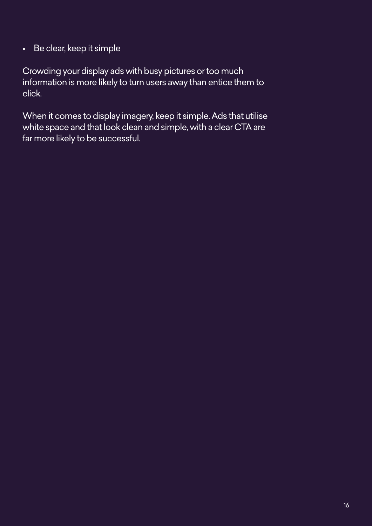• Be clear, keep it simple

Crowding your display ads with busy pictures or too much information is more likely to turn users away than entice them to click.

When it comes to display imagery, keep it simple. Ads that utilise white space and that look clean and simple, with a clear CTA are far more likely to be successful.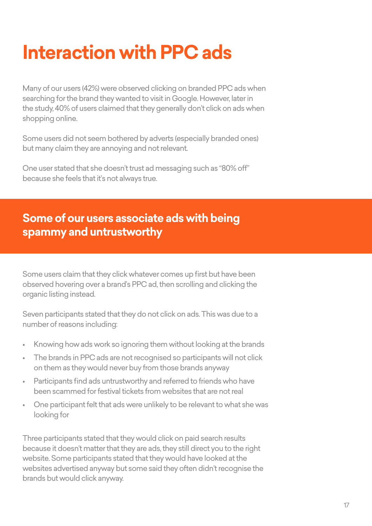## **Interaction with PPC ads**

Many of our users (42%) were observed clicking on branded PPC ads when searching for the brand they wanted to visit in Google. However, later in the study, 40% of users claimed that they generally don't click on ads when shopping online.

Some users did not seem bothered by adverts (especially branded ones) but many claim they are annoying and not relevant.

One user stated that she doesn't trust ad messaging such as "80% off" because she feels that it's not always true.

#### **Some of our users associate ads with being spammy and untrustworthy**

Some users claim that they click whatever comes up first but have been observed hovering over a brand's PPC ad, then scrolling and clicking the organic listing instead.

Seven participants stated that they do not click on ads. This was due to a number of reasons including:

- Knowing how ads work so ignoring them without looking at the brands
- The brands in PPC ads are not recognised so participants will not click on them as they would never buy from those brands anyway
- Participants find ads untrustworthy and referred to friends who have been scammed for festival tickets from websites that are not real
- One participant felt that ads were unlikely to be relevant to what she was looking for

Three participants stated that they would click on paid search results because it doesn't matter that they are ads, they still direct you to the right website. Some participants stated that they would have looked at the websites advertised anyway but some said they often didn't recognise the brands but would click anyway.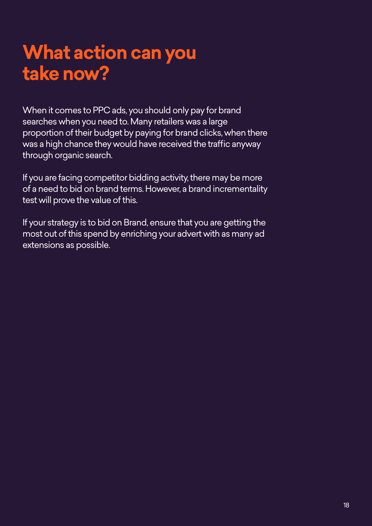When it comes to PPC ads, you should only pay for brand searches when you need to. Many retailers was a large proportion of their budget by paying for brand clicks, when there was a high chance they would have received the traffic anyway through organic search.

If you are facing competitor bidding activity, there may be more of a need to bid on brand terms. However, a brand incrementality test will prove the value of this.

If your strategy is to bid on Brand, ensure that you are getting the most out of this spend by enriching your advert with as many ad extensions as possible.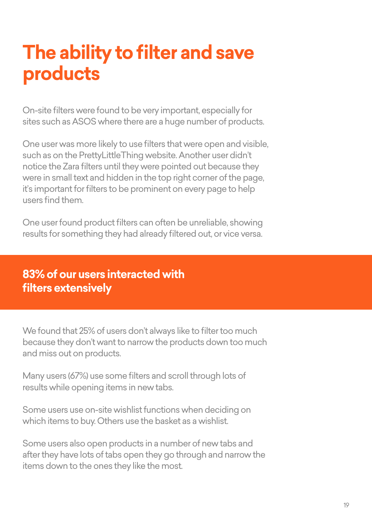## **The ability to filter and save products**

On-site filters were found to be very important, especially for sites such as ASOS where there are a huge number of products.

One user was more likely to use filters that were open and visible, such as on the PrettyLittleThing website. Another user didn't notice the Zara filters until they were pointed out because they were in small text and hidden in the top right corner of the page, it's important for filters to be prominent on every page to help users find them.

One user found product filters can often be unreliable, showing results for something they had already filtered out, or vice versa.

#### **83% of our users interacted with filters extensively**

We found that 25% of users don't always like to filter too much because they don't want to narrow the products down too much and miss out on products.

Many users (67%) use some filters and scroll through lots of results while opening items in new tabs.

Some users use on-site wishlist functions when deciding on which items to buy. Others use the basket as a wishlist.

Some users also open products in a number of new tabs and after they have lots of tabs open they go through and narrow the items down to the ones they like the most.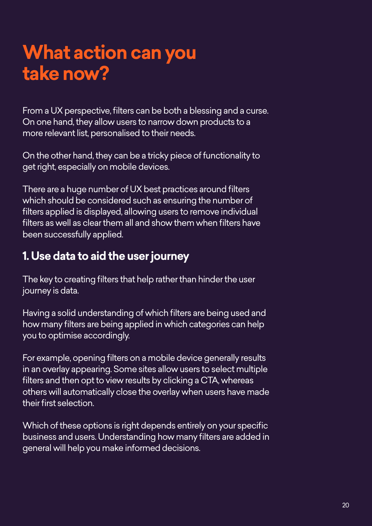From a UX perspective, filters can be both a blessing and a curse. On one hand, they allow users to narrow down products to a more relevant list, personalised to their needs.

On the other hand, they can be a tricky piece of functionality to get right, especially on mobile devices.

There are a huge number of UX best practices around filters which should be considered such as ensuring the number of filters applied is displayed, allowing users to remove individual filters as well as clear them all and show them when filters have been successfully applied.

#### **1. Use data to aid the user journey**

The key to creating filters that help rather than hinder the user journey is data.

Having a solid understanding of which filters are being used and how many filters are being applied in which categories can help you to optimise accordingly.

For example, opening filters on a mobile device generally results in an overlay appearing. Some sites allow users to select multiple filters and then opt to view results by clicking a CTA, whereas others will automatically close the overlay when users have made their first selection.

Which of these options is right depends entirely on your specific business and users. Understanding how many filters are added in general will help you make informed decisions.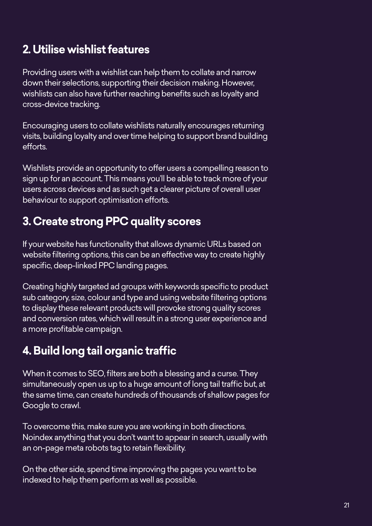#### **2. Utilise wishlist features**

Providing users with a wishlist can help them to collate and narrow down their selections, supporting their decision making. However, wishlists can also have further reaching benefits such as loyalty and cross-device tracking.

Encouraging users to collate wishlists naturally encourages returning visits, building loyalty and over time helping to support brand building efforts.

Wishlists provide an opportunity to offer users a compelling reason to sign up for an account. This means you'll be able to track more of your users across devices and as such get a clearer picture of overall user behaviour to support optimisation efforts.

#### **3. Create strong PPC quality scores**

If your website has functionality that allows dynamic URLs based on website filtering options, this can be an effective way to create highly specific, deep-linked PPC landing pages.

Creating highly targeted ad groups with keywords specific to product sub category, size, colour and type and using website filtering options to display these relevant products will provoke strong quality scores and conversion rates, which will result in a strong user experience and a more profitable campaign.

#### **4. Build long tail organic traffic**

When it comes to SEO, filters are both a blessing and a curse. They simultaneously open us up to a huge amount of long tail traffic but, at the same time, can create hundreds of thousands of shallow pages for Google to crawl.

To overcome this, make sure you are working in both directions. Noindex anything that you don't want to appear in search, usually with an on-page meta robots tag to retain flexibility.

On the other side, spend time improving the pages you want to be indexed to help them perform as well as possible.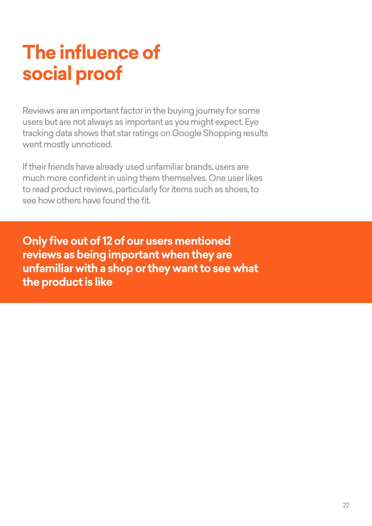## **The influence of social proof**

Reviews are an important factor in the buying journey for some users but are not always as important as you might expect. Eye tracking data shows that star ratings on Google Shopping results went mostly unnoticed.

If their friends have already used unfamiliar brands, users are much more confident in using them themselves. One user likes to read product reviews, particularly for items such as shoes, to see how others have found the fit.

**Only five out of 12 of our users mentioned reviews as being important when they are unfamiliar with a shop or they want to see what the product is like**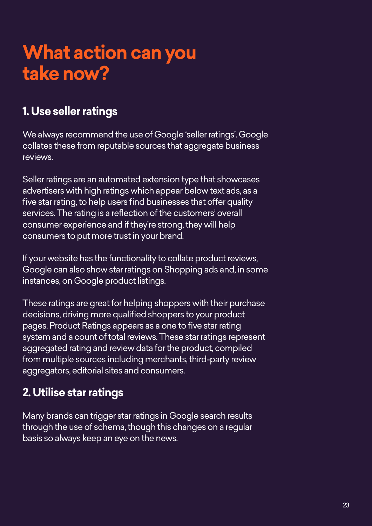#### **1. Use seller ratings**

We always recommend the use of Google 'seller ratings'. Google collates these from reputable sources that aggregate business reviews.

Seller ratings are an automated extension type that showcases advertisers with high ratings which appear below text ads, as a five star rating, to help users find businesses that offer quality services. The rating is a reflection of the customers' overall consumer experience and if they're strong, they will help consumers to put more trust in your brand.

If your website has the functionality to collate product reviews, Google can also show star ratings on Shopping ads and, in some instances, on Google product listings.

These ratings are great for helping shoppers with their purchase decisions, driving more qualified shoppers to your product pages. Product Ratings appears as a one to five star rating system and a count of total reviews. These star ratings represent aggregated rating and review data for the product, compiled from multiple sources including merchants, third-party review aggregators, editorial sites and consumers.

#### **2. Utilise star ratings**

Many brands can trigger star ratings in Google search results through the use of schema, though this changes on a regular basis so always keep an eye on the news.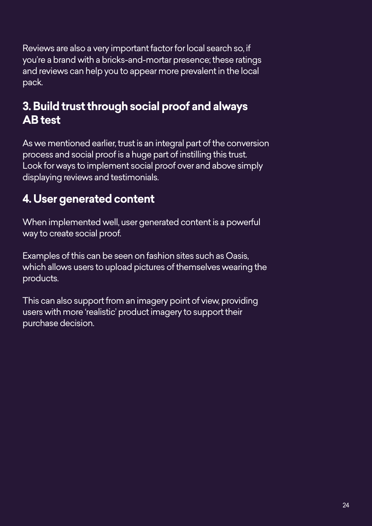Reviews are also a very important factor for local search so, if you're a brand with a bricks-and-mortar presence; these ratings and reviews can help you to appear more prevalent in the local pack.

#### **3. Build trust through social proof and always AB test**

As we mentioned earlier, trust is an integral part of the conversion process and social proof is a huge part of instilling this trust. Look for ways to implement social proof over and above simply displaying reviews and testimonials.

#### **4. User generated content**

When implemented well, user generated content is a powerful way to create social proof.

Examples of this can be seen on fashion sites such as Oasis, which allows users to upload pictures of themselves wearing the products.

This can also support from an imagery point of view, providing users with more 'realistic' product imagery to support their purchase decision.